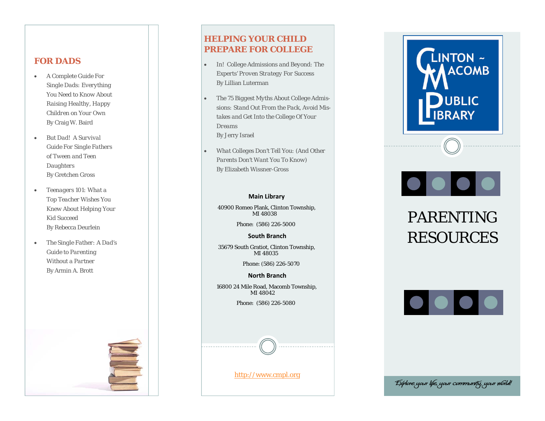### **FOR DADS**

- $\bullet$  *A Complete Guide For Single Dads: Everything You Need to Know About Raising Healthy, Happy Children on Your Own*  By Craig W. Baird
- $\bullet$  *But Dad! A Survival Guide For Single Fathers of Tween and Teen Daughters*  By Gretchen Gross
- $\bullet$  *Teenagers 101: What a Top Teacher Wishes You Knew About Helping Your Kid Succeed* By Rebecca Deurlein
- $\bullet$  *The Single Father: A Dad's Guide to Parenting Without a Partner* By Armin A. Brott



### **HELPING YOUR CHILD PREPARE FOR COLLEGE**

- $\bullet$  *In! College Admissions and Beyond: The Experts' Proven Strategy For Success*  By Lillian Luterman
- $\bullet$  *The 75 Biggest Myths About College Admissions: Stand Out From the Pack, Avoid Mistakes and Get Into the College Of Your Dreams* By Jerry Israel
- $\bullet$  *What Colleges Don't Tell You: (And Other Parents Don't Want You To Know)*  By Elizabeth Wissner-Gross

### **Main Library**

40900 Romeo Plank, Clinton Township, MI 48038

Phone: (586) 226-5000

**South Branch**

35679 South Gratiot, Clinton Township, MI 48035

Phone: (586) 226-5070

**North Branch**16800 24 Mile Road, Macomb Township, MI 48042

Phone: (586) 226-5080

http://www.cmpl.org



# 

## PARENTING RESOURCES



Explore your life, your community, your world!